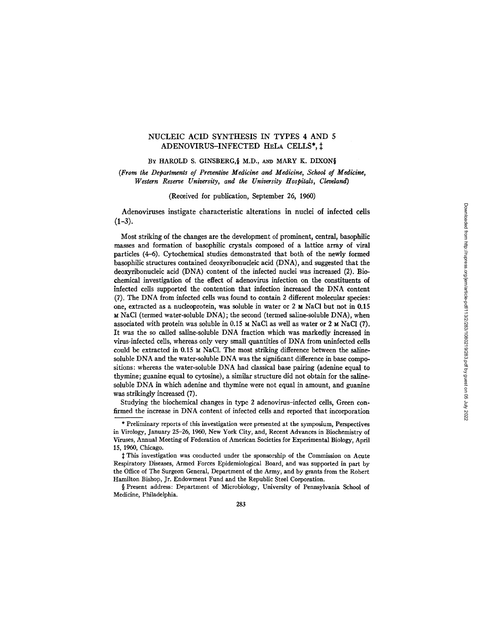# NUCLEIC ACID SYNTHESIS IN TYPES 4 AND 5 ADENOVIRUS-INFECTED HELA CELLS\*,

## BY HAROLD S. GINSBERG,§ M.D., AND MARY K. DIXON§

*(From the Departments of Preventive Medicine and Medicine, School of Medicine, Western Reserve University, and the University Hospitals, Cleveland)* 

(Received for publication, September 26, 1960)

Adenoviruses instigate characteristic alterations in nuclei of infected cells  $(1-3)$ .

Most striking of the changes are the development of prominent, central, basophilic masses and formation of basophilic crystals composed of a lattice array of viral particles (4-6). Cytochemical studies demonstrated that both of the newly formed basophilic structures contained deoxyribonucleic acid (DNA), and suggested that the deoxyribonucleic acid (DNA) content of the infected nuclei was increased (2). Biochemical investigation of the effect of adenovirus infection on the constituents of infected cells supported the contention that infection increased the DNA content (7). The DNA from infected cells was found to contain 2 different molecular species: one, extracted as a nucleoprotein, was soluble in water or  $2 ~ M$  NaCl but not in 0.15 M NaCI (termed water-soluble DNA); the second (termed saline-soluble DNA), when associated with protein was soluble in  $0.15 ~ M$  NaCl as well as water or 2  $M$  NaCl (7). It was the so called saline-soluble DNA fraction which was markedly increased in virus-infected cells, whereas only very small quantities of DNA from uninfected cells could be extracted in  $0.15 ~M$  NaCl. The most striking difference between the salinesoluble DNA and the water-soluble DNA was the significant difference in base compositions: whereas the water-soluble DNA had classical base pairing (adenine equal to thymine; guanine equal to cytosine), a similar structure did not obtain for the salinesoluble DNA in which adenine and thymine were not equal in amount, and guanine was strikingly increased (7).

Studying the biochemical changes in type 2 adenovirus-infected cells, Green confirmed the increase in DNA content of infected cells and reported that incorporation

§ Present address: Department of Microbiology, University of Pennsylvania School of Medicine, Philadelphia.

<sup>\*</sup> Preliminary reports of this investigation were presented at the symposium, Perspectives in Virology, January 25-26, 1960, New York City, and, Recent Advances in Biochemistry of Viruses, Annual Meeting of Federation of American Societies for Experimental Biology, April 15, 1960, Chicago.

 $\ddagger$  This investigation was conducted under the sponsorship of the Commission on Acute Respiratory Diseases, Armed Forces Epidemiological Board, and was supported in part by the Office of The Surgeon General, Department of the Army, and by grants from the Robert Hamilton Bishop, Jr. Endowment Fund and the Republic Steel Corporation.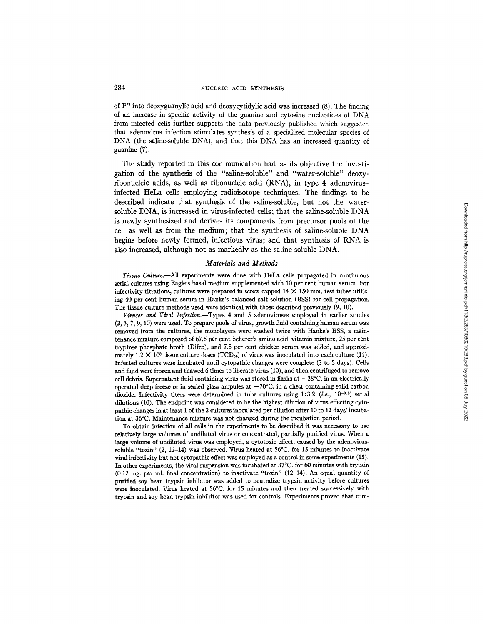of  $P^{32}$  into deoxyguanylic acid and deoxycytidylic acid was increased (8). The finding of an increase in specific activity of the guanine and cytosine nucleotides of DNA from infected cells further supports the data previously published which suggested that adenovims infection stimulates synthesis of a specialized molecular species of DNA (the saline-soluble DNA), and that this DNA has an increased quantity of guanine (7).

The study reported in this communication had as its objective the investigation of the synthesis of the "saline-soluble" and "water-soluble" deoxyribonucleic acids, as well as ribonucleic acid (RNA), in type 4 adenovirusinfected HeLa cells employing radioisotope techniques. The findings to be described indicate that synthesis of the saline-soluble, but not the watersoluble DNA, is increased in virus-infected cells; that the saline-soluble DNA is newly synthesized and derives its components from precursor pools of the cell as well as from the medium; that the synthesis of saline-soluble DNA begins before newly formed, infectious virus; and that synthesis of RNA is also increased, although not as markedly as the saline-soluble DNA.

### *Materials and Methods*

*Tissue Culture.--AU* experiments were done with HeLa cells propagated in continuous serial cultures using Eagle's basal medium supplemented with 10 per cent human serum. For infectivity titrations, cultures were prepared in screw-capped  $14 \times 150$  mm. test tubes utilizing 40 per cent human serum in Hanks's balanced salt solution (BSS) for cell propagation. The tissue culture methods used were identical with those described previously (9, 10).

*Viruses and Viral Infeetion.--Types* 4 and 5 adenovimses employed in earlier studies (2, 3, 7, 9, I0) were used. To prepare pools of virus, growth fluid containing human serum was removed from the cultures, the monolayers were washed twice with Hanks's BSS, a maintenance mixture composed of 67.5 per cent Scherer's amino acid-vitamin mixture, 25 per cent tryptose phosphate broth (Difco), and 7.5 per cent chicken serum was added, and approximately 1.2  $\times$  10<sup>3</sup> tissue culture doses (TCD<sub>50</sub>) of virus was inoculated into each culture (11). Infected cultures were incubated until cytopathic changes were complete (3 to 5 days). Cells and fluid were frozen and thawed 6 times to liberate virus (10), and then centrifuged to remove cell debris. Supernatant fluid containing virus was stored in flasks at  $-28^{\circ}$ C. in an electrically operated deep freeze or in sealed glass ampules at  $-70^{\circ}$ C. in a chest containing solid carbon dioxide. Infectivity titers were determined in tube cultures using 1:3.2 (*i.e.*,  $10^{-0.5}$ ) serial dilutions (10). The endpoint was considered to be the highest dilution of virus effecting cytopathic changes in at least 1 of the 2 cultures inoculated per dilution after 10 to 12 days' incubation at 36°C. Maintenance mixture was not changed during the incubation period.

To obtain infection of all cells in the experiments to be described it was necessary to use relatively large volumes of undiluted virus or concentrated, partially purified virus. When a large volume of undiluted virus was employed, a cytotoxic effect, caused by the adenovirussoluble *"toxin"* (2, 12-14) was observed. Virus heated at 56°C. for 15 minutes to inactivate viral infectivity but not cytopathic effect was employed as a control in some experiments (15). In other experiments, the viral suspension was incubated at 37°C. for 60 minutes with trypsin (0.12 mg. per ml. final concentration) to inactivate "toxin" (12-14). An equal quantity of purified soy bean trypsin inhibitor was added to neutralize trypsin activity before cultures were inoculated. Virus heated at 56°C. for 15 minutes and then treated successively with trypsin and soy bean trypsin inhibitor was used for controls. Experiments proved that com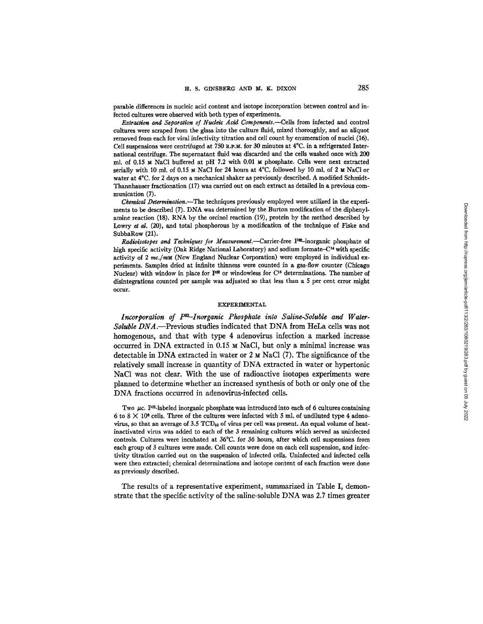parable differences in nucleic acid content and isotope incorporation between control and infected cultures were observed with both types of experiments.

*Extraction and Separation of Nucleic Acid Components.--Cells* from infected and control cultures were scraped from the glass into the culture fluid, mixed thoroughly, and an aliquot removed from each for virai infectivity titration and cell count by enumeration of nuclei (16). Cell suspensions were centrifuged at 750  $\mathbf{R}, \mathbf{P}, \mathbf{M}$ , for 30 minutes at 4 $\mathrm{C}$ . in a refrigerated International centrifuge. The supernatant fluid was discarded and the cells washed once with 200 ml. of 0.15 M NaCl buffered at pH 7.2 with 0.01 M phosphate. Cells were next extracted serially with 10 ml. of 0.15  $\text{M}$  NaCl for 24 hours at 4°C. followed by 10 ml. of 2  $\text{M}$  NaCl or water at 4°C. for 2 days on a mechanical shaker as previously described. A modified Schmidt-Thannhauser fractionation (17) was carried out on each extract as detailed in a previous communication (7).

*Chemical Determination.--The* techniques previously employed were utilized in the experiments to be described (7). DNA was determined by the Burton modification of the diphenylamine reaction (18). RNA by the orcinol reaction (19), protein by the method described by Lowry et al. (20), and total phosphorous by a modification of the technique of Fiske and SubbaRow (21).

*Radioisotopes and Techniques for Measurement.*-Carrier-free P<sup>x2</sup>-inorganic phosphate of high specific activity (Oak Ridge National Laboratory) and sodium formate- $C<sup>14</sup>$  with specific activity of 2 mc./mM (New England Nuclear Corporation) were employed in individual experiments. Samples dried at infinite thinness were counted in a gas-flow counter (Chicago Nuclear) with window in place for  $P^{22}$  or windowless for  $C^{14}$  determinations. The number of disintegrations counted per sample was adjusted so that less than a 5 per cent error might occur.

### EXPERIMENTAL

Incorporation of  $P^{82}-Inorganic Phosphate$  into Saline-Soluble and Water-*Soluble DNA.--Previous* studies indicated that DNA from HeLa cells was not homogenous, and that with type 4 adenovirus infection a marked increase occurred in DNA extracted in  $0.15 \times$  NaCl, but only a minimal increase was detectable in DNA extracted in water or 2 M NaCI (7). The significance of the relatively small increase in quantity of DNA extracted in water or hypertonic NaC1 was not clear. With the use of radioactive isotopes experiments were planned to determine whether an increased synthesis of both or only one of the DNA fractions occurred in adenovirus-infected cells.

Two  $\mu$ c. P<sup>32</sup>-labeled inorganic phosphate was introduced into each of 6 cultures containing 6 to 8  $\times$  10<sup>6</sup> cells. Three of the cultures were infected with 5 ml. of undiluted type 4 adenovirus, so that an average of  $3.5$  TCD<sub>60</sub> of virus per cell was present. An equal volume of heatinactivated virus was added to each of the 3 remaining cultures which served as uninfected controls. Cultures were incubated at 36°C. for 36 hours, after which cell suspensions from each group of 3 cultures were made. Cell counts were done on each cell suspension, and infectivity titration carried out on the suspension of infected cells. Uninfected and infected cells were then extracted; chemical determinations and isotope content of each fraction were done as previously described.

The results of a representative experiment, summarized in Table I, demonstrate that the specific activity of the saline-soluble DNA was 2.7 times greater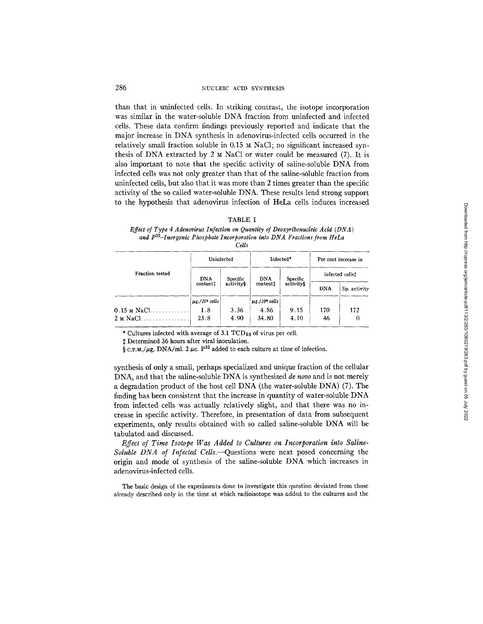than that in uninfected cells. In striking contrast, the isotope incorporation was similar in the water-soluble DNA fraction from uninfected and infected cells. These data confirm findings previously reported and indicate that the major increase in DNA synthesis in adenovirus-infected ceils occurred in the relatively small fraction soluble in  $0.15 ~ M$  NaCl; no significant increased synthesis of DNA extracted by 2  $\mu$  NaCl or water could be measured (7). It is also important to note that the specific activity of saline-soluble DNA from infected cells was not only greater than that of the saline-soluble fraction from uninfected cells, but also that it was more than 2 times greater than the specific activity of the so called water-soluble DNA. These results lend strong support to the hypothesis that adenovirus infection of HeLa cells induces increased

## TABLE I

*Effect of Type 4 Adenovirus Infection on Quantity of Deoxyribonucleic Acid ( DN A ) and P32-Inorganic Phosphate Incorporation into DNA Fractions from IteLa* 

*Cdls* 

|                       | Uninfected                      |                        | Infected*                           |           | Per cent increase in |              |
|-----------------------|---------------------------------|------------------------|-------------------------------------|-----------|----------------------|--------------|
| Fraction tested       | DNA                             | <b>DNA</b><br>Specific | Specific                            |           | infected cells!      |              |
|                       | contenti                        | activitys              | contenti                            | activity§ | <b>DNA</b>           | Sp. activity |
|                       | $ \mu$ g./10 <sup>6</sup> cells |                        | $ $ $\mu$ g./10 $\degree$ cells $ $ |           |                      |              |
| $0.15 \text{ m}$ NaCl | 1.8                             | 3.36                   | 4.86                                | 9.15      | 170                  | 172          |
| $2 \text{ M NaCl}$    | 23.8                            | 4.90                   | 34.80                               | 4.10      | 46                   | 0            |

\* Cultures infected with average of 3.1  $TCD_{50}$  of virus per cell.

Determined 36 hours after viral inoculation.

 $\frac{1}{2}$  c.p.m./ $\mu$ g. DNA/ml. 2  $\mu$ c. P<sup>32</sup> added to each culture at time of infection.

synthesis of only a small, perhaps specialized and unique fraction of the cellular DNA, and that the saline-soluble DNA is synthesized *de novo* and is not merely a degradation product of the host cell DNA (the water-soluble DNA) (7). The finding has been consistent that the increase in quantity of water-soluble DNA from infected cells was actually relatively slight, and that there was no increase in specific activity. Therefore, in presentation of data from subsequent experiments, only results obtained with so called saline-soluble DNA will be tabulated and discussed.

*Effect of Time Isotope Was Added to Cultures on Incorporation into Saline-Soluble DNA of Infected Cells.--Quesfions* were next posed concerning the origin and mode of synthesis of the saline-soluble DNA which increases in adenovirus-infected cells.

The basic design of the experiments done to investigate this question deviated from those already described only in the time at which radioisotope was added to the cultures and the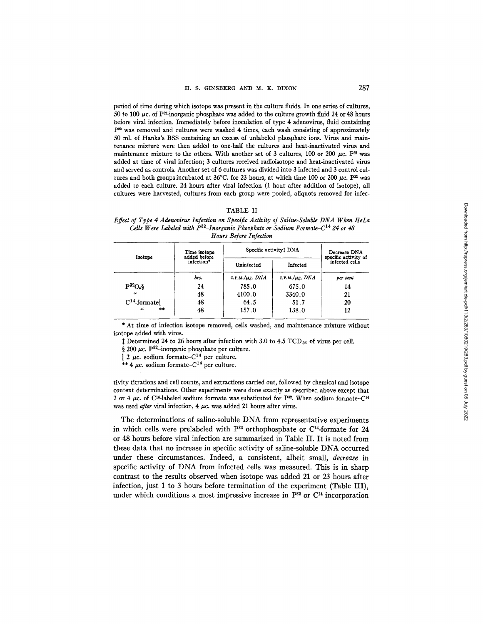period of time during which isotope was present in the culture fluids. In one series of cultures, 50 to 100  $\mu$ c. of P<sup>32</sup>-inorganic phosphate was added to the culture growth fluid 24 or 48 hours before viral infection. Immediately before inoculation of type 4 adenovirus, fluid containing P<sup>32</sup> was removed and cultures were washed 4 times, each wash consisting of approximately 50 ml. of Hanks's BSS containing an excess of unlabeled phosphate ions. Virus and maintenance mixture were then added to one-half the cultures and heat-inactivated virus and maintenance mixture to the others. With another set of 3 cultures, 100 or 200  $\mu$ c. P<sup>32</sup> was added at time of viral infection; 3 cultures received radioisotope and heat-inactivated virus and served as controls. Another set of 6 cultures was divided into 3 infected and 3 control cultures and both groups incubated at 36°C. for 23 hours, at which time 100 or 200  $\mu$ c. P<sup>32</sup> was added to each culture. 24 hours after viral infection (1 hour after addition of isotope), all cultures were harvested, cultures from each group were pooled, aliquots removed for infec-

#### TABLE II

*Effect of Type 4 Adenovirus Infection on Specific Actlvity of Saline-Soluble DNA When HeLa Cells Were Labeled with P<sup>32</sup>-Inorganic Phosphate or Sodium Formate-C<sup>14</sup> 24 or 48 Hours Before Infection* 

|                | Time isotope<br>added before | Specific activity! DNA | Decrease DNA<br>specific activity of |                |
|----------------|------------------------------|------------------------|--------------------------------------|----------------|
| Isotope        | infection*                   | Uninfected             | Infected                             | infected cells |
|                | hrs.                         | C.P.M./ $\mu$ g. DNA   | C.P.M./ $\mu$ g. DNA                 | per cent       |
| $P^{32}O_4\$   | 24                           | 785.0                  | 675.0                                | 14             |
| $\iota$        | 48                           | 4100.0                 | 3340.0                               | 21             |
| $C14$ -formate | 48                           | 64.5                   | 51.7                                 | 20             |
| $**$<br>44     | 48                           | 157.0                  | 138.0                                | 12             |

\* At time of infection isotope removed, cells washed, and maintenance mixture without isotope added with virus.

 $\ddagger$  Determined 24 to 26 hours after infection with 3.0 to 4.5 TCD<sub>50</sub> of virus per cell.

 $\frac{1}{2}$  200  $\mu$ c. P<sup>32</sup>-inorganic phosphate per culture.

| 2  $\mu$ c. sodium formate-C<sup>14</sup> per culture.

\*\*  $4 \mu$ c. sodium formate-C<sup>14</sup> per culture.

tivity titrations and cell counts, and extractions carried out, followed by chemical and isotope content determinations. Other experiments were done exactly as described above except that 2 or 4  $\mu$ c. of C<sup>14</sup>-labeled sodium formate was substituted for P<sup>22</sup>. When sodium formate-C<sup>14</sup> was used *after* viral infection, 4  $\mu$ c. was added 21 hours after virus.

The determinations of saline-soluble DNA from representative experiments in which cells were prelabeled with  $P^{32}$  orthophosphate or C<sup>14</sup>-formate for 24 or 48 hours before viral infection are summarized in Table II. It is noted from these data that no increase in specific activity of saline-soluble DNA occurred under these circumstances. Indeed, a consistent, albeit small, *decrease* in specific activity of DNA from infected cells was measured. This is in sharp contrast to the results observed when isotope was added 21 or 23 hours after infection, just 1 to 3 hours before termination of the experiment (Table III), under which conditions a most impressive increase in  $P^{32}$  or  $C^{14}$  incorporation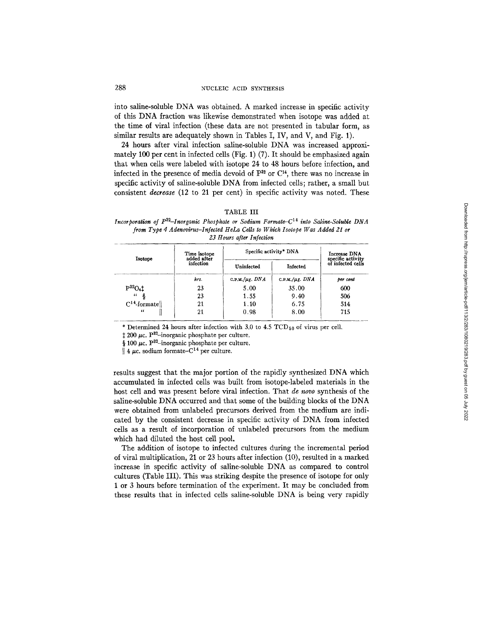into saline-soluble DNA was obtained. A marked increase in specific activity of this DNA fraction was likewise demonstrated when isotope was added at the time of viral infection (these data are not presented in tabular form, as similar results are adequately shown in Tables I, IV, and V, and Fig. 1).

24 hours after viral infection saline-soluble DNA was increased approximately 100 per cent in infected cells (Fig. 1) (7). It should be emphasized again that when cells were labeled with isotope 24 to 48 hours before infection, and infected in the presence of media devoid of  $P^{32}$  or  $C^{14}$ , there was no increase in specific activity of saline-soluble DNA from infected cells; rather, a small but consistent *decrease* (12 to 21 per cent) in specific activity was noted. These

| r.<br>г<br>ż. |  |
|---------------|--|
|---------------|--|

*Incorporation of P<sup>32</sup>-Inorganic Phosphate or Sodium Formate-C*<sup>14</sup> into Saline-Soluble DNA *from Type 4 Adenovirus-lnfected IIeLa Ceils to Which Isotope Was Added 21 or 23 flours after Infection* 

|                | Time isotope<br>added after | Specific activity* DNA | Increase DNA<br>specific activity |                   |
|----------------|-----------------------------|------------------------|-----------------------------------|-------------------|
| Isotope        | infection                   | Uninfected             | Infected                          | of infected cells |
|                | hrs.                        | C.P.M./ $\mu$ g. DNA   | C.P.M./ $\mu$ g. DNA              | ber cent          |
| $P^{32}O_4$ ‡  | 23                          | 5.00                   | 35.00                             | 600               |
| $\alpha$       | 23                          | 1.55                   | 9.40                              | 506               |
| $C14$ -formate | 21                          | 1.10                   | 6.75                              | 514               |
| $\epsilon$     | 21                          | 0.98                   | 8.00                              | 715               |

\* Determined 24 hours after infection with 3.0 to 4.5  $\text{TCD}_{50}$  of virus per cell.

 $\ddagger$  200  $\mu$ c. P<sup>32</sup>-inorganic phosphate per culture.

§ 100  $\mu$ c. P<sup>32</sup>-inorganic phosphate per culture.

 $\parallel$  4  $\mu$ c. sodium formate-C<sup>14</sup> per culture.

results suggest that the major portion of the rapidly synthesized DNA which accumulated in infected cells was built from isotope-labeled materials in the host cell and was present before viral infection. That *de novo* synthesis of the saline-soluble DNA occurred and that some of the building blocks of the DNA were obtained from unlabeled precursors derived from the medium are indicated by the consistent decrease in specific activity of DNA from infected cells as a result of incorporation of unlabeled precursors from the medium which had diluted the host cell pool.

The addition of isotope to infected cultures during the incremental period of viral multiplication, 21 or 23 hours after infection (10), resulted in a marked increase in specific activity of saline-soluble DNA as compared to control cultures (Table lII). This was striking despite the presence of isotope for only 1 or 3 hours before termination of the experiment. It may be concluded from these results that in infected cells saline-soluble DNA is being very rapidly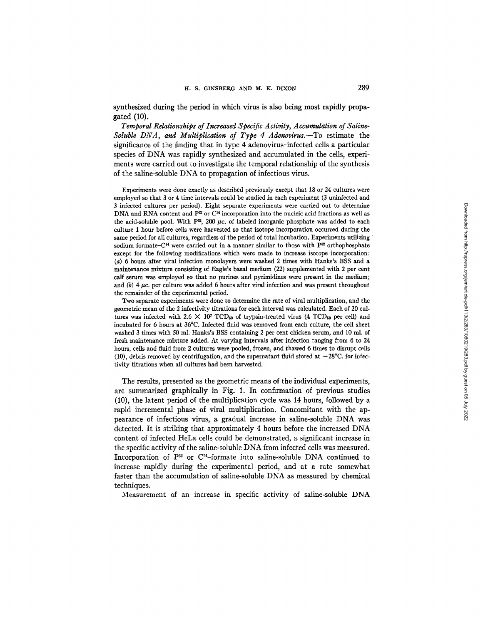synthesized during the period in which virus is also being most rapidly propagated (10).

*Temporal Relationships of Increased Specific Activity, Accumulation of Saline-Soluble DNA, and Multiplication of Type 4 Adenovirus.--To* estimate the significance of the finding that in type 4 adenovirus-infected cells a particular species of DNA was rapidly synthesized and accumulated in the cells, experiments were carried out to investigate the temporal relationship of the synthesis of the saline-soluble DNA to propagation of infectious virus.

Experiments were done exactly as described previously except that 18 or 24 cultures were employed so that 3 or 4 time intervals could be studied in each experiment (3 uninfected and 3 infected cultures per period). Eight separate experiments were carried out to determine DNA and RNA content and  $P^{\infty}$  or C<sup>14</sup> incorporation into the nucleic acid fractions as well as the acid-soluble pool. With P<sup>22</sup>, 200  $\mu$ c. of labeled inorganic phosphate was added to each culture 1 hour before cells were harvested so that isotope incorporation occurred during the same period for all cultures, regardless of the period of total incubation. Experiments utilizing sodium formate– $C^{14}$  were carried out in a manner similar to those with  $P^{32}$  orthophosphate except for the following modifications which were made to increase isotope incorporation: (a) 6 hours after viral infection monolayers were washed 2 times with Hanks's BSS and a maintenance mixture consisting of Eagle's basal medium (22) supplemented with 2 per cent calf serum was employed so that no purines and pyrimidines were present in the medium; and  $(b)$  4  $\mu$ c. per culture was added 6 hours after viral infection and was present throughout the remainder of the experimental period.

Two separate experiments were done to determine the rate of viral multiplication, and the geometric mean of the 2 infectivity fitrations for each interval was calculated. Each of 20 cultures was infected with 2.6  $\times$  10<sup>7</sup> TCD<sub>50</sub> of trypsin-treated virus (4 TCD<sub>50</sub> per cell) and incubated for 6 hours at 36°C. Infected fluid was removed from each culture, the cell sheet washed 3 times with 50 ml. Hanks's BSS containing 2 per cent chicken serum, and 10 ml. of fresh maintenance mixture added. At varying intervals after infection ranging from 6 to 24 hours, cells and fluid from 2 cultures were pooled, frozen, and thawed 6 times to disrupt cells (10), debris removed by centrifugation, and the supernatant fluid stored at  $-28^{\circ}$ C. for infectivity fitrations when all cultures had been harvested.

The results, presented as the geometric means of the individual experiments, are summarized graphically in Fig. 1. In confirmation of previous studies (10), the latent period of the multiplication cycle was 14 hours, followed by a rapid incremental phase of viral multiplication. Concomitant with the appearance of infectious virus, a gradual increase in saline-soluble DNA was detected. It is striking that approximately 4 hours before the increased DNA content of infected HeLa cells could be demonstrated, a significant increase in the specific activity of the saline-soluble DNA from infected cells was measured. Incorporation of  $P^{32}$  or  $C^{14}$ -formate into saline-soluble DNA continued to increase rapidly during the experimental period, and at a rate somewhat faster than the accumulation of saline-soluble DNA as measured by chemical techniques.

Measurement of an increase in specific activity of saline-soluble DNA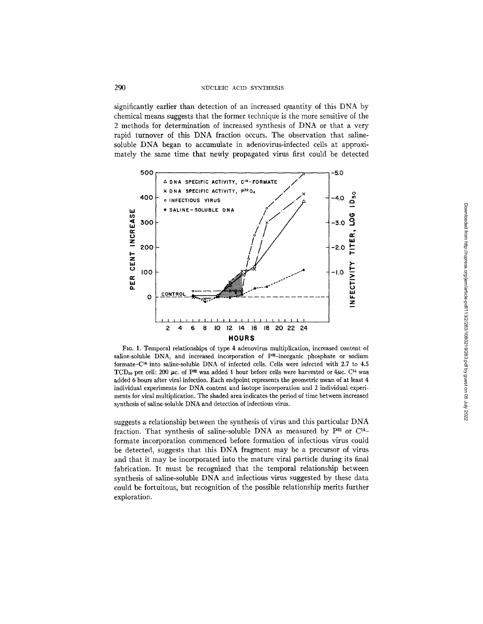significantly earlier than detection of an increased quantity of this DNA by chemical means suggests that the former technique is the more sensitive of the 2 methods for determination of increased synthesis of DNA or that a very rapid turnover of this DNA fraction occurs. The observation that salinesoluble DNA began to accumulate in adenovirus-infected cells at approximately the same time that newly propagated virus first could be detected



Fro. 1. Temporal relationships of type 4 adenovirus multiplication, increased content of saline-soluble DNA, and increased incorporation of P<sup>32</sup>-inorganic phosphate or sodium formate- $C<sup>14</sup>$  into saline-soluble DNA of infected cells. Cells were infected with 2.7 to 4.5 TCD<sub>50</sub> per cell: 200  $\mu$ c. of P<sup>22</sup> was added 1 hour before cells were harvested or 4 $\mu$ c. C<sup>14</sup> was added 6 hours after viral infection. Each endpoint represents the geometric mean of at least 4 individual experiments for DNA content and isotope incorporation and 2 individual experiments for viral multiplication. The shaded area indicates the period of time between increased synthesis of saline-soluble DNA and detection of infectious virus.

suggests a relationship between the synthesis of virus and this particular DNA fraction. That synthesis of saline-soluble DNA as measured by  $P^{32}$  or  $C^{14}$ formate incorporation commenced before formation of infectious virus could be detected, suggests that this DNA fragment may be a precursor of virus and that it may be incorporated into the mature viral particle during its final fabrication. It must be recognized that the temporal relationship between synthesis of saline-soluble DNA and infectious virus suggested by these data could be fortuitous, but recognition of the possible relationship merits further exploration.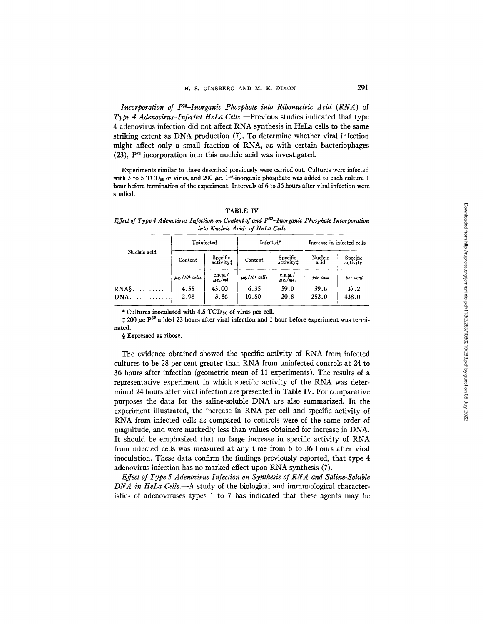*Incorporation of P<sup>32</sup>-Inorganic Phosphate into Ribonucleic Acid (RNA)* of *Type 4 Adenovirus-Infected HeLa Cells.--Previous* studies indicated that type 4 adenovirus infection did not affect RNA synthesis in HeLa cells to the same striking extent as DNA production (7). To determine whether viral infection might affect only a small fraction of RNA, as with certain bacteriophages  $(23)$ ,  $P^{32}$  incorporation into this nucleic acid was investigated.

Experiments similar to those described previously were carried out. Cultures were infected with 3 to 5 TCD<sub>50</sub> of virus, and 200  $\mu$ c. P<sup>32</sup>-inorganic phosphate was added to each culture 1 hour before termination of the experiment. Intervals of 6 to 36 hours after viral infection were studied.

| TABLE |  |
|-------|--|
|-------|--|

*Effect of Type 4 Adenovirus Infection on Content of and P82-Inorganio Phosphate Incorporation into Nucleic Acids of HeLa Cells* 

|                  | Uninfected                     |                        | Infected*                      | Increase in infected cells |                 |                      |
|------------------|--------------------------------|------------------------|--------------------------------|----------------------------|-----------------|----------------------|
| Nucleic acid     | Content                        | Specific<br>activityt  | Content                        | Specific<br>activity!      | Nucleic<br>acid | Specific<br>activity |
|                  | $\mu$ g./10 <sup>6</sup> cells | C.P.M.<br>$\mu$ g./ml. | $\mu$ g./10 <sup>6</sup> cells | C.P.M.<br>$\mu$ g./ml.     | per cent        | ber cent             |
| $\mathbf{RNA}$ s | 4.55                           | 43.00                  | 6.35                           | 59.0                       | 39.6            | 37.2                 |
|                  | 2.98                           | 3.86                   | 10.50                          | 20.8                       | 252.0           | 438.0                |

\* Cultures inoculated with  $4.5$  TCD $_{50}$  of virus per cell.

 $\text{\tt 1200}\,\mu\text{\tt c}~\text{\tt P}^{32}$  added 23 hours after viral infection and 1 hour before experiment was terminated.

§ Expressed as ribose.

The evidence obtained showed the specific activity of RNA from infected cultures to be 28 per cent greater than RNA from uninfected controls at 24 to 36 hours after infection (geometric mean of 11 experiments). The results of a representative experiment in which specific activity of the RNA was determined 24 hours after viral infection are presented in Table IV. For comparative purposes the data for the saline-soluble DNA are also summarized. In the experiment illustrated, the increase in RNA per cell and specific activity of RNA from infected cells as compared to controls were of the same order of magnitude, and were markedly less than values obtained for increase in DNA. It should be emphasized that no large increase in specific activity of RNA from infected cells was measured at any time from 6 to 36 hours after viral inoculation. These data confirm the findings previously reported, that type 4 adenovirus infection has no marked effect upon RNA synthesis (7).

*Effect of Type 5 Adenovirus Infection on Synthesis of RNA and Saline-Soluble DNA in HeLa Cells.*—A study of the biological and immunological characteristics of adenoviruses types 1 to 7 has indicated that these agents may be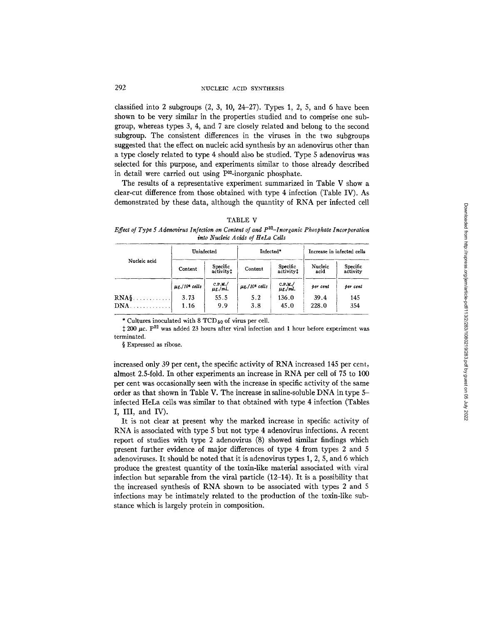classified into 2 subgroups  $(2, 3, 10, 24-27)$ . Types 1, 2, 5, and 6 have been shown to be very similar in the properties studied and to comprise one subgroup, whereas types 3, 4, and 7 are closely related and belong to the second subgroup. The consistent differences in the viruses in the two subgroups suggested that the effect on nucleic acid synthesis by an adenovirus other than a type closely related to type 4 should also be studied. Type 5 adenovirus was selected for this purpose, and experiments similar to those already described in detail were carried out using P32-inorganic phosphate.

The results of a representative experiment summarized in Table V show a clear-cut difference from those obtained with type 4 infection (Table IV). As demonstrated by these data, although the quantity of RNA per infected cell

| ABL! |  |
|------|--|
|------|--|

*Effect of Type 5 A denovirus Infection on Content of and P*<sup>32</sup>–*Inorganic Phosphate Incorporation into Nucleic Acids of HeLa Cells* 

|               | Uninfected                     |                        | Infected*                      | Increase in infected cells |                 |                      |
|---------------|--------------------------------|------------------------|--------------------------------|----------------------------|-----------------|----------------------|
| Nucleic acid  | Content                        | Specific<br>activity:  | Content                        | Specific<br>activity!      | Nucleic<br>acid | Specific<br>activity |
|               | $\mu$ g./10 <sup>6</sup> cells | C.P.M.<br>$\mu$ g./ml. | $\mu$ g./10 <sup>6</sup> cells | C.P.M.<br>$\mu$ g./ml.     | per cent        | per cent             |
| $\text{RNA}\$ | 3.73                           | 55.5                   | 5.2                            | 136.0                      | 39.4            | 145                  |
|               | 1.16                           | 9.9                    | 3.8                            | 45.0                       | 228.0           | 354                  |

\* Cultures inoculated with  $8$  TCD<sub>50</sub> of virus per cell.

 $\text{\texttt{1}}$  200 µc.  $P^{32}$  was added 23 hours after viral infection and 1 hour before experiment was terminated.

§ Expressed as ribose.

increased only 39 per cent, the specific activity of RNA increased 145 per cent, almost 2.5-fold. In other experiments an increase in RNA per cell of 75 to 100 per cent was occasionally seen with the increase in specific activity of the same order as that shown in Table V. The increase in saline-soluble DNA in type 5 infected HeLa cells was similar to that obtained with type 4 infection (Tables I, III, and IV).

It is not clear at present why the marked increase in specific activity of RNA is associated with type 5 but not type 4 adenovirus infections. A recent report of studies with type 2 adenovirus (8) showed similar findings which present further evidence of major differences of type 4 from types 2 and 5 adenoviruses. It should be noted that it is adenovirus types 1, 2, 5, and 6 which produce the greatest quantity of the toxin-like material associated with viral infection but separable from the viral particle (12-14). It is a possibility that the increased synthesis of RNA shown to be associated with types 2 and 5 infections may be intimately related to the production of the toxin-like substance which is largely protein in composition.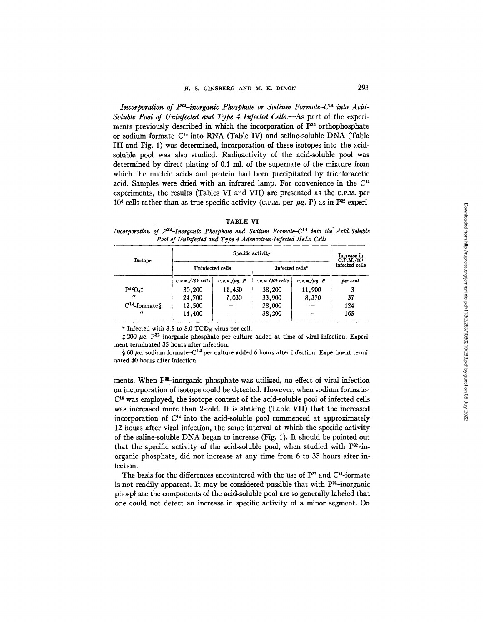Incorporation of  $P^{32}$ -inorganic Phosphate or Sodium Formate-C<sup>14</sup> into Acid-*Soluble Pool of Uninfected and Type 4 Infected Cells.--As* part of the experiments previously described in which the incorporation of  $P^{32}$  orthophosphate or sodium formate– $C^{14}$  into RNA (Table IV) and saline-soluble DNA (Table III and Fig. 1) was determined, incorporation of these isotopes into the acidsoluble pool was also studied. Radioactivity of the acid-soluble pool was determined by direct plating of 0.1 mi. of the supernate of the mixture from which the nucleic acids and protein had been precipitated by trichloracetic acid. Samples were dried with an infrared lamp. For convenience in the  $C<sup>14</sup>$ experiments, the results (Tables VI and VII) are presented as the c.P.M, per  $10<sup>6</sup>$  cells rather than as true specific activity (c.p.m. per  $\mu$ g. P) as in P<sup>32</sup> experi-

## TABLE VI

*Incorporation of P<sup>32</sup>-Inorganic Phosphate and Sodium Formate-C<sup>14</sup> into the Acid-Soluble Pool of Uninfected and Type 4 Adenovirus-Infected IIeLa Cells* 

|                          |                                | Specific activity  |                              |                    |                                |  |  |
|--------------------------|--------------------------------|--------------------|------------------------------|--------------------|--------------------------------|--|--|
| Isotope                  | Uninfected cells               |                    | Infected cells*              |                    | $C.P.M./10*$<br>infected cells |  |  |
|                          | $C.P.M./10$ <sup>6</sup> cells | C.P.M./ $\mu$ g. P | C.P.M./10 <sup>6</sup> cells | C.P.M./ $\mu$ g. P | per cent                       |  |  |
| $P^{32}O_4$ <sup>+</sup> | 30,200                         | 11,450             | 38,200                       | 11,900             | 3                              |  |  |
| -46                      | 24,700                         | 7,030              | 33,900                       | 8,370              | 37                             |  |  |
| $C^{14}$ -formates       | 12,500                         |                    | 28,000                       |                    | 124                            |  |  |
| $\epsilon$               | 14,400                         |                    | 38,200                       |                    | 165                            |  |  |

\* Infected with 3.5 to 5.0  $TCD_{50}$  virus per cell.

 $\frac{1}{200}$   $\mu$ c. P<sup>32</sup>-inorganic phosphate per culture added at time of viral infection. Experiment terminated 35 hours after infection.

§ 60  $\mu$ c. sodium formate–C<sup>14</sup> per culture added 6 hours after infection. Experiment terminated 40 hours after infection.

ments. When  $P^2$ -inorganic phosphate was utilized, no effect of viral infection on incorporation of isotope could be detected. However, when sodium formate- $C<sup>14</sup>$  was employed, the isotope content of the acid-soluble pool of infected cells was increased more than 2-fold. It is striking (Table VII) that the increased incorporation of  $C<sup>14</sup>$  into the acid-soluble pool commenced at approximately 12 hours after viral infection, the same interval at which the specific activity of the saline-soluble DNA began to increase (Fig. 1). It should be pointed out that the specific activity of the acid-soluble pool, when studied with  $P^{22}$ -inorganic phosphate, did not increase at any time from 6 to 35 hours after infection.

The basis for the differences encountered with the use of  $P^{32}$  and  $C^{14}$ -formate is not readily apparent. It may be considered possible that with  $P^{32}$ -inorganic phosphate the components of the acid-soluble pool are so generally labeled that one could not detect an increase in specific activity of a minor segment. On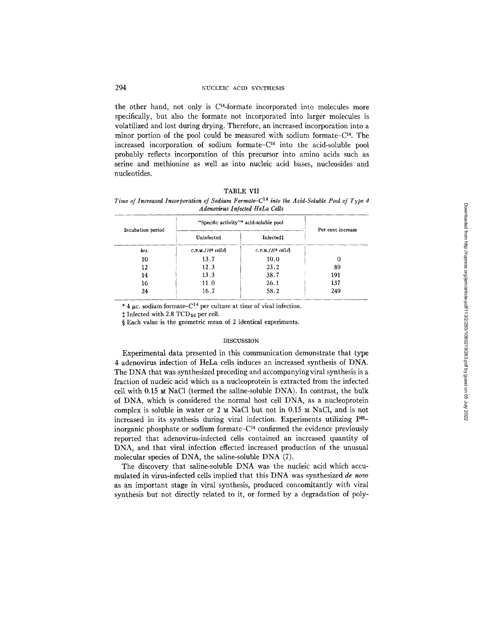the other hand, not only is C14-formate incorporated into molecules more specifically, but also the formate not incorporated into larger molecules is volatilized and lost during drying. Therefore, an increased incorporation into a minor portion of the pool could be measured with sodium formate– $C<sup>14</sup>$ . The increased incorporation of sodium formate– $C<sup>14</sup>$  into the acid-soluble pool probably reflects incorporation of this precursor into amino acids such as serine and methionine as well as into nucleic acid bases, nucleosides and nucleotides.

## TABLE VII

*Time of Increased Incorporation of Sodium Formate-C*<sup>14</sup> into the Acid-Soluble Pool of Type 4 *Adenovirus Infected HeLa Cells* 

| Incubation period | "Specific activity"* acid-soluble pool | Per cent increase            |     |
|-------------------|----------------------------------------|------------------------------|-----|
|                   | Uninfected                             | Infected:                    |     |
| hrs.              | C.P.M./10 <sup>6</sup> cells           | C.P.M./10 <sup>6</sup> cells |     |
| 10                | 13.7                                   | 10.0                         | 0   |
| 12                | 12.3                                   | 23.2                         | 89  |
| 14                | 13.3                                   | 38.7                         | 191 |
| 16                | 11.0                                   | 26.1                         | 137 |
| 24                | 16.7                                   | 58.2                         | 249 |

\* 4  $\mu$ c. sodium formate–C<sup>14</sup> per culture at time of viral infection.

 $\ddagger$  Infected with 2.8 TCD<sub>50</sub> per cell.

§ Each value is the geometric mean of 2 identical experiments.

#### DISCUSSION

Experimental data presented in this communication demonstrate that type 4 adenovirus infection of HeLa cells induces an increased synthesis of DNA. The DNA that was synthesized preceding and accompanying viral synthesis is a fraction of nucleic acid which as a nucleoprotein is extracted from the infected cell with  $0.15 ~M$  NaCl (termed the saline-soluble DNA). In contrast, the bulk of DNA, which is considered the normal host cell DNA, as a nucleoprotein complex is soluble in water or 2  $\mu$  NaCl but not in 0.15  $\mu$  NaCl, and is not increased in its synthesis during viral infection. Experiments utilizing p32\_ inorganic phosphate or sodium formate $-C<sup>14</sup>$  confirmed the evidence previously reported that adenovirus-infected cells contained an increased quantity of DNA, and that viral infection effected increased production of the unusual molecular species of DNA, the saline-soluble DNA (7).

The discovery that saline-soluble DNA was the nucleic acid which accumulated in virus-infected cells implied that this DNA was synthesized *de novo*  as an important stage in viral synthesis, produced concomitantly with viral synthesis but not directly related to it, or formed by a degradation of poly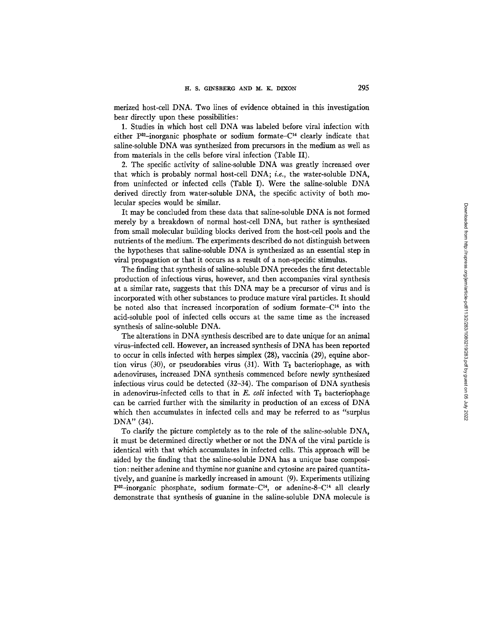merized host-cell DNA. Two lines of evidence obtained in this investigation bear directly upon these possibilities:

1. Studies in which host cell DNA was labeled before viral infection with either  $P^{32}$ -inorganic phosphate or sodium formate- $C^{14}$  clearly indicate that saline-soluble DNA was synthesized from precursors in the medium as well as from materials in the cells before viral infection (Table II).

2. The specific activity of saline-soluble DNA was greatly increased over that which is probably normal host-cell DNA; *i.e.,* the water-soluble DNA, from uninfected or infected cells (Table I). Were the saline-soluble DNA derived directly from water-soluble *DNA,* the specific activity of both molecular species would be similar.

It may be concluded from these data that saline-soluble DNA is not formed merely by a breakdown of normal host-cell *DNA,* but rather is synthesized from small molecular building blocks derived from the host-cell pools and the nutrients of the medium. The experiments described do not distinguish between the hypotheses that saline-soluble DNA is synthesized as an essential step in viral propagation or that it occurs as a result of a non-specific stimulus.

The finding that synthesis of saline-soluble DNA precedes the first detectable production of infectious virus, however, and then accompanies viral synthesis at a similar rate, suggests that this DNA may be a precursor of virus and is incorporated with other substances to produce mature viral particles. It should be noted also that increased incorporation of sodium formate-C<sup>14</sup> into the acid-soluble pool of infected cells occurs at the same time as the increased synthesis of saline-soluble DNA.

The alterations in DNA synthesis described are to date unique for an animal virus-infected cell. However, an increased synthesis of DNA has been reported to occur in cells infected with herpes simplex (28), vaccinia (29), equine abortion virus (30), or pseudorabies virus (31). With  $T_2$  bacteriophage, as with adenoviruses, increased DNA synthesis commenced before newly synthesized infectious virus could be detected (32-34). The comparison of DNA synthesis in adenovirus-infected cells to that in  $E$ , *coli* infected with  $T_2$  bacteriophage can be carried further with the similarity in production of an excess of DNA which then accumulates in infected cells and may be referred to as "surplus DNA" (34).

To clarify the picture completely as to the role of the saline-soluble DNA, it must be determined directly whether or not the *DNA* of the viral particle is identical with that which accumulates in infected cells. This approach will be aided by the finding that the saline-soluble DNA has a unique base composition: neither adenine and thymine nor guanine and cytosine are paired quantitatively, and guanine is markedly increased in amount (9). Experiments utilizing  $P^{32}$ -inorganic phosphate, sodium formate-C<sup>14</sup>, or adenine-8-C<sup>14</sup> all clearly demonstrate that synthesis of guanine in the saline-soluble DNA molecule is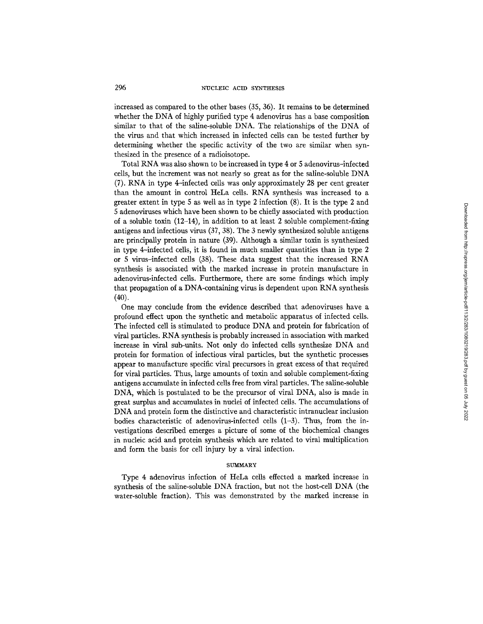increased as compared to the other bases (35, 36). It remains to be determined whether the DNA of highly purified type 4 adenovirus has a base composition similar to that of the saline-soluble DNA. The relationships of the DNA of the virus and that which increased in infected cells can be tested further by determining whether the specific activity of the two are similar when synthesized in the presence of a radioisotope.

Total RNA was also shown to be increased in type 4 or 5 adenovirus-infected cells, but the increment was not nearly so great as for the saline-soluble DNA (7). RNA in type 4-infected cells was only approximately 28 per cent greater than the amount in control HeLa ceils. RNA synthesis was increased to a greater extent in type 5 as well as in type 2 infection (8). It is the type 2 and 5 adenoviruses which have been shown to be chiefly associated with production of a soluble toxin (12-14), in addition to at least 2 soluble complement-fixing antigens and infectious virus (37, 38). The 3 newly synthesized soluble antigens are principally protein in nature (39). Although a similar toxin is synthesized in type 4--infected cells, it is found in much smaller quantities than in type 2 or 5 virus-infected cells (38). These data suggest that the increased RNA synthesis is associated with the marked increase in protein manufacture in adenovirus-infected cells. Furthermore, there are some findings which imply that propagation of a DNA-containing virus is dependent upon RNA synthesis (40).

One may conclude from the evidence described that adenoviruses have a profound effect upon the synthetic and metabolic apparatus of infected cells. The infected cell is stimulated to produce DNA and protein for fabrication of viral particles. RNA synthesis is probably increased in association with marked increase in viral sub-units. Not only do infected cells synthesize DNA and protein for formation of infectious viral particles, but the synthetic processes appear to manufacture specific viral precursors in great excess of that required for viral particles. Thus, large amounts of toxin and soluble complement-fixing antigens accumulate in infected cells free from viral particles. The saline-soluble DNA, which is postulated to be the precursor of viral DNA, also is made in great surplus and accumulates in nuclei of infected cells. The accumulations of DNA and protein form the distinctive and characteristic intranuclear inclusion bodies characteristic of adenovirus-infected cells  $(1-3)$ . Thus, from the investigations described emerges a picture of some of the biochemical changes in nucleic acid and protein synthesis which are related to viral multiplication and form the basis for cell injury by a viral infection.

### **SUMMARY**

Type 4 adenovirus infection of HeLa cells effected a marked increase in synthesis of the saline-soluble DNA fraction, but not the host-cell DNA (the water-soluble fraction). This was demonstrated by the marked increase in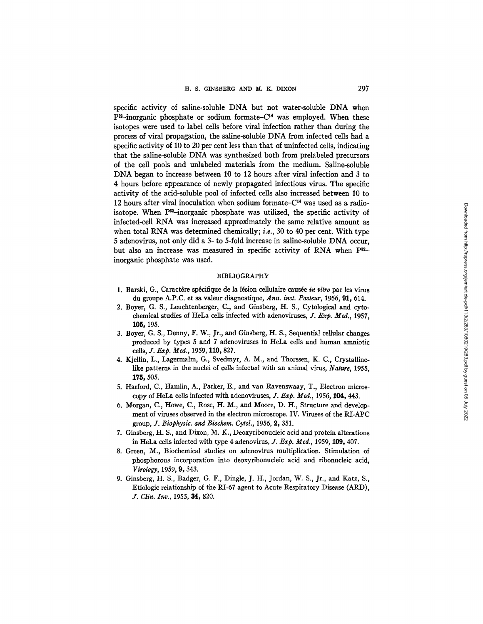specific activity of saline-soluble DNA but not water-soluble DNA when  $P^{22}$ -inorganic phosphate or sodium formate-C<sup>14</sup> was employed. When these isotopes were used to label cells before viral infection rather than during the process of viral propagation, the saline-soluble DNA from infected cells had a specific activity of 10 to 20 per cent less than that of uninfected cells, indicating that the saline-soluble DNA was synthesized both from prelabeled precursors of the cell pools and unlabeled materials from the medium. Saline-soluble DNA began to increase between 10 to 12 hours after viral infection and 3 to 4 hours before appearance of newly propagated infectious virus. The specific activity of the acid-soluble pool of infected cells also increased between 10 to 12 hours after viral inoculation when sodium formate- $C<sup>14</sup>$  was used as a radioisotope. When  $P^{32}$ -inorganic phosphate was utilized, the specific activity of infected-cell RNA was increased approximately the same relative amount as when total RNA was determined chemically; *i.e.,* 30 to 40 per cent. With type 5 adenovirus, not only did a 3- to 5-fold increase in saline-soluble DNA occur, but also an increase was measured in specific activity of RNA when  $P^{32}$ inorganic phosphate was used.

#### BIBLIOGRAPHY

- 1. Barski, G., Caractère spécifique de la lésion cellulaire causée *in vitro* par les virus du groupe A.P.C. et sa valeur diagnostique, *Ann. inst. Pasteur,* 1955, 91, 614.
- 2. Boyer, G. S., Leuchtenberger, C., and Ginsberg, H. S., Cytological and cytochemical studies of HeLa cells infected with adenoviruses, *J. Exp. Med.,* 1957, **105,** 195.
- 3. Boyer, G. S., Denny, F. W., Jr., and Ginsberg, H. S., Sequential cellular changes produced by types 5 and 7 adenoviruses in HeLa cells and human amniotic *cells, ]. Exp. Med.,* 1959, 110, 827.
- 4. Kjellin, L., Lagermalm, *G.,* Svedmyr, A. M., and Thorssen, K. C., Crystallinelike patterns in the nuclei of cells infected with an animal virus, *Nature,* 1955, 175, 505.
- 5. Harford, C., Hamlin, A., Parker, E., and van Ravenswaay, T., Electron microscopy of HeLa cells infected with adenoviruses, *J. Exp. Meal.,* 1956, 104, 443.
- 6. Morgan, C., Howe, C., Rose, H. M., and Moore, D. H., Structure and development of viruses observed in the electron microscope. IV. Viruses of the RLAPC group, 3". *Biophysic. and Biochem. Cytol.,* 1956, 2, 351.
- 7. Ginsberg, H. S., and Dixon, M. K., Deoxyribonucleic acid and protein alterations in HeLa cells infected with type 4 adenovirus, f. *Exp. Med.,* 1959, 109, 407.
- 8. Green, M., Biochemical studies on adenovirus multiplication. Stimulation of phosphorous incorporation into deoxyribonucleic acid and ribonucleic acid, *Virology,* 1959, 9, 343.
- 9. Ginsberg, H. S., Badger, G. F., Dingle, J. H., Jordan, W. S., Jr., and Katz, S., Etiologic relationship of the RI-67 agent to Acute Respiratory Disease (ARD), *3.. Clin. Inv.,* 1955, 34, 820.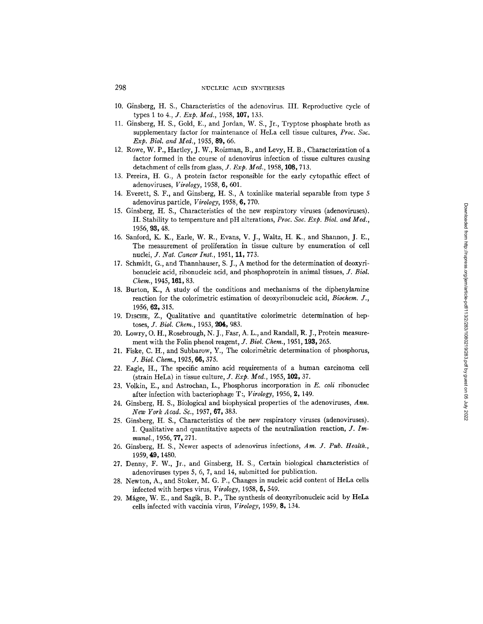- 10. Ginsberg, H. S., Characteristics of the adenovirus. IlL Reproductive cycle of types 1 to *4., J. Exp. Med.,* 1958, 107, 133.
- I1. Ginsberg, H. S., Gold, E., and Jordan, W. S., Jr., Tryptose phosphate broth as supplementary factor for maintenance of HeLa cell tissue cultures, *Proc. Soc. Exp. Biol. and Mecl.,* 1955, 89, 66.
- 12. Rowe, W. P., Hartley, J. W., Roizman, B., and Levy, H. B., Characterization of a factor formed in the course of adenovirus infection of tissue cultures causing detachment of cells from glass, *J. Exp. Med.,* 1958, 108, 713.
- 13. Pereira, H. G., A protein factor responsible for the early cytopathic effect of adenoviruses, *Virology,* 1958, 6, 601.
- 14. Everett, S. F., and Ginsberg, H. S., A toxinlike material separable from type 5 adenovirus particle, *Virology,* 1958, 6,770.
- 15. Ginsberg, H. S., Characteristics of the new respiratory viruses (adenoviruses). II. Stability to temperature and pH alterations, *Proc. Soc. Exp. Biol. and Med.,*  1956, 93, 48.
- 16. Sanford, K. K., Earle, W. R., Evans, V. J., Waltz, H. K., and Shannon, J. E., The measurement of proliferation in tissue culture by enumeration of cell nuclei, *J. Nat. Cancer Inst.,* 1951, 11, 773.
- 17. Schmidt, G., and Thannhauser, S. J., A method for the determination of deoxyribonucleic acid, ribonucleic acid, and phosphoprotein in animal tissues, *J. Biol. Chem.,* 1945, 161, 83.
- 18. Burton, K., A study of the conditions and mechanisms of the diphenylamine reaction for the colorimetric estimation of deoxyribonucleic acid, *Biochem. J.,*  1956, 69., 315.
- 19. DISCHE, Z., Qualitative and quantitative colorimetric determination of heptoses, *J. Biol. Chem.,* 1953, 204, 983.
- 20. Lowry, O. H., Rosebrough, N. J., Fast, A. L., and Randall, R. J., Protein measurement with the Folin phenol reagent, *J. Biol. Chem.*, 1951, 193, 265.
- 21. Fiske, C. H., and Subbarow, Y., The colorimetric determination of phosphorus, *J. Biol. Chem.,* 1925, 66,375.
- 22. Eagle, H., The specific amino acid requirements of a human carcinoma cell (strain HeLa) in tissue culture, *J. Exp. Med.,* 1955, 102, 37.
- 23. Volkin, E., and Astrochan, L., Phosphorus incorporation in *E. coli* ribonuclec after infection with bacteriophage T:, *Virology,* 1956, 2, 149.
- 24. Ginsberg, H. S., Biological and biophysical properties of the adenoviruses, *Ann. New York Acad. Sc.,* 1957, 67, 383.
- 25. Ginsberg, It. S., Characteristics of the new respiratory viruses (adenoviruses). I. Qualitative and quantitative aspects of the neutralization reaction,  $J$ . Im*munol.,* 1956, 77, 271.
- 26. Ginsberg, H. S., Newer aspects of adenovirus infections, *Am. J. Pub. Health.,*  1959, 49, 1480.
- 27. Denny, F. W., Jr., and Ginsberg, H. S., Certain biological characteristics of adenoviruses types  $5, 6, 7$ , and  $14$ , submitted for publication.
- 28. Newton, A., and Stoker, M. G. P., Changes in nucleic acid content of HeLa cells infected with herpes virus, *Virology,* 1958, 5,549.
- 29. Mágee, W. E., and Sagik, B. P., The synthesis of deoxyribonucleic acid by HeLa cells infected with vaccinia virus, *Virology,* 1959, 8, 134.